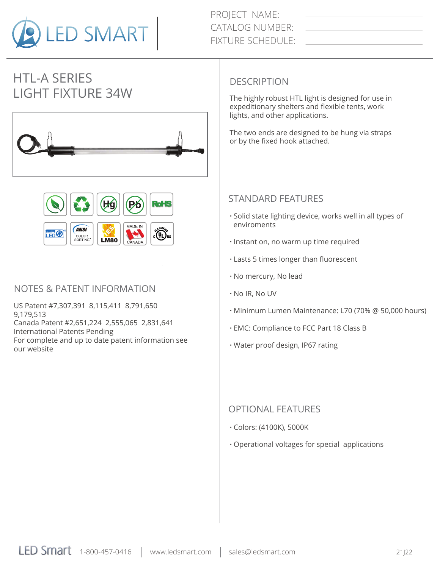

PROJECT NAME: CATALOG NUMBER: FIXTURE SCHEDULE:

# HTL-A SERIES LIGHT FIXTURE 34W The highly robust HTL light is designed for use in





#### NOTES & PATENT INFORMATION

US Patent #7,307,391 8,115,411 8,791,650 9,179,513 Canada Patent #2,651,224 2,555,065 2,831,641 International Patents Pending For complete and up to date patent information see our website

#### **DESCRIPTION**

expeditionary shelters and flexible tents, work lights, and other applications.

The two ends are designed to be hung via straps or by the fixed hook attached.

#### STANDARD FEATURES

- **·** Solid state lighting device, works well in all types of enviroments
- **·** Instant on, no warm up time required
- **·** Lasts 5 times longer than fluorescent
- **·** No mercury, No lead
- **·** No IR, No UV
- **·** Minimum Lumen Maintenance: L70 (70% @ 50,000 hours)
- **·** EMC: Compliance to FCC Part 18 Class B
- **·** Water proof design, IP67 rating

#### OPTIONAL FEATURES

- **·** Colors: (4100K), 5000K
- **·** Operational voltages for special applications